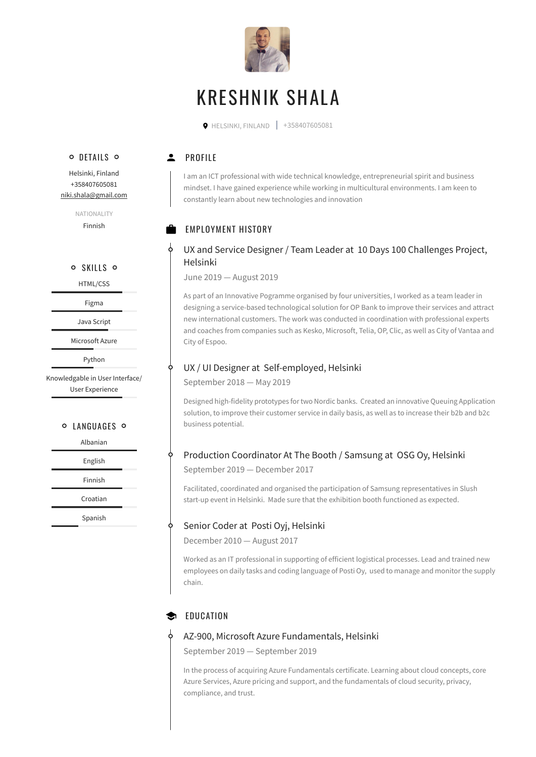

# KRESHNIK SHALA

 $\bullet$  HELSINKI, FINLAND  $\parallel$  +358407605081

# o DETAILS O

**2** PROFILE

I am an ICT professional with wide technical knowledge, entrepreneurial spirit and business mindset. I have gained experience while working in multicultural environments. I am keen to constantly learn about new technologies and innovation

# **EMPLOYMENT HISTORY**

# UX and Service Designer / Team Leader at 10 Days 100 Challenges Project, Helsinki

June 2019 — August 2019

As part of an Innovative Pogramme organised by four universities, I worked as a team leader in designing a service-based technological solution for OP Bank to improve their services and attract new international customers. The work was conducted in coordination with professional experts and coaches from companies such as Kesko, Microsoft, Telia, OP, Clic, as well as City of Vantaa and City of Espoo.

# UX / UI Designer at Self-employed, Helsinki

September 2018 — May 2019

Designed high-fidelity prototypes for two Nordic banks. Created an innovative Queuing Application solution, to improve their customer service in daily basis, as well as to increase their b2b and b2c business potential.

# Production Coordinator At The Booth / Samsung at OSG Oy, Helsinki

September 2019 — December 2017

Facilitated, coordinated and organised the participation of Samsung representatives in Slush start-up event in Helsinki. Made sure that the exhibition booth functioned as expected.

# Senior Coder at Posti Oyj, Helsinki

December 2010 — August 2017

Worked as an IT professional in supporting of efficient logistical processes. Lead and trained new employees on daily tasks and coding language of Posti Oy, used to manage and monitor the supply chain.

# $\bullet$  FOUCATION

### AZ-900, Microsoft Azure Fundamentals, Helsinki

September 2019 — September 2019

In the process of acquiring Azure Fundamentals certificate. Learning about cloud concepts, core Azure Services, Azure pricing and support, and the fundamentals of cloud security, privacy, compliance, and trust.

Helsinki, Finland +358407605081 [niki.shala@gmail.com](mailto:niki.shala@gmail.com)

> NATIONALITY Finnish

#### o SKILLS o

HTML/CSS

Figma

Java Script

Microsoft Azure

Python

Knowledgable in User Interface/ User Experience

#### O LANGUAGES O

Albanian

English

Finnish

Croatian

Spanish